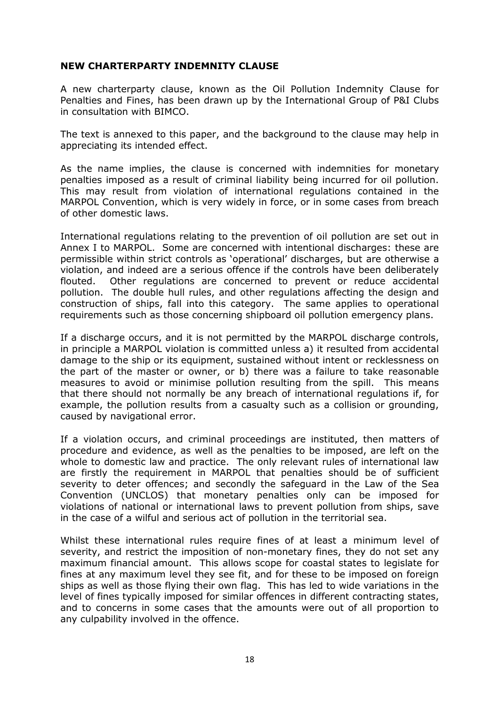## NEW CHARTERPARTY INDEMNITY CLAUSE

A new charterparty clause, known as the Oil Pollution Indemnity Clause for Penalties and Fines, has been drawn up by the International Group of P&I Clubs in consultation with BIMCO.

The text is annexed to this paper, and the background to the clause may help in appreciating its intended effect.

As the name implies, the clause is concerned with indemnities for monetary penalties imposed as a result of criminal liability being incurred for oil pollution. This may result from violation of international regulations contained in the MARPOL Convention, which is very widely in force, or in some cases from breach of other domestic laws.

International regulations relating to the prevention of oil pollution are set out in Annex I to MARPOL. Some are concerned with intentional discharges: these are permissible within strict controls as 'operational' discharges, but are otherwise a violation, and indeed are a serious offence if the controls have been deliberately flouted. Other regulations are concerned to prevent or reduce accidental pollution. The double hull rules, and other regulations affecting the design and construction of ships, fall into this category. The same applies to operational requirements such as those concerning shipboard oil pollution emergency plans.

If a discharge occurs, and it is not permitted by the MARPOL discharge controls, in principle a MARPOL violation is committed unless a) it resulted from accidental damage to the ship or its equipment, sustained without intent or recklessness on the part of the master or owner, or b) there was a failure to take reasonable measures to avoid or minimise pollution resulting from the spill. This means that there should not normally be any breach of international regulations if, for example, the pollution results from a casualty such as a collision or grounding, caused by navigational error.

If a violation occurs, and criminal proceedings are instituted, then matters of procedure and evidence, as well as the penalties to be imposed, are left on the whole to domestic law and practice. The only relevant rules of international law are firstly the requirement in MARPOL that penalties should be of sufficient severity to deter offences; and secondly the safeguard in the Law of the Sea Convention (UNCLOS) that monetary penalties only can be imposed for violations of national or international laws to prevent pollution from ships, save in the case of a wilful and serious act of pollution in the territorial sea.

Whilst these international rules require fines of at least a minimum level of severity, and restrict the imposition of non-monetary fines, they do not set any maximum financial amount. This allows scope for coastal states to legislate for fines at any maximum level they see fit, and for these to be imposed on foreign ships as well as those flying their own flag. This has led to wide variations in the level of fines typically imposed for similar offences in different contracting states, and to concerns in some cases that the amounts were out of all proportion to any culpability involved in the offence.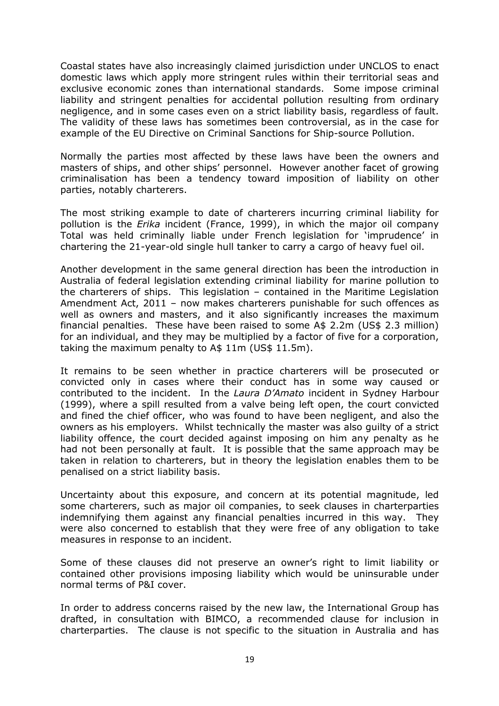Coastal states have also increasingly claimed jurisdiction under UNCLOS to enact domestic laws which apply more stringent rules within their territorial seas and exclusive economic zones than international standards. Some impose criminal liability and stringent penalties for accidental pollution resulting from ordinary negligence, and in some cases even on a strict liability basis, regardless of fault. The validity of these laws has sometimes been controversial, as in the case for example of the EU Directive on Criminal Sanctions for Ship-source Pollution.

Normally the parties most affected by these laws have been the owners and masters of ships, and other ships' personnel. However another facet of growing criminalisation has been a tendency toward imposition of liability on other parties, notably charterers.

The most striking example to date of charterers incurring criminal liability for pollution is the Erika incident (France, 1999), in which the major oil company Total was held criminally liable under French legislation for 'imprudence' in chartering the 21-year-old single hull tanker to carry a cargo of heavy fuel oil.

Another development in the same general direction has been the introduction in Australia of federal legislation extending criminal liability for marine pollution to the charterers of ships. This legislation – contained in the Maritime Legislation Amendment Act, 2011 – now makes charterers punishable for such offences as well as owners and masters, and it also significantly increases the maximum financial penalties. These have been raised to some A\$ 2.2m (US\$ 2.3 million) for an individual, and they may be multiplied by a factor of five for a corporation, taking the maximum penalty to A\$ 11m (US\$ 11.5m).

It remains to be seen whether in practice charterers will be prosecuted or convicted only in cases where their conduct has in some way caused or contributed to the incident. In the Laura D'Amato incident in Sydney Harbour (1999), where a spill resulted from a valve being left open, the court convicted and fined the chief officer, who was found to have been negligent, and also the owners as his employers. Whilst technically the master was also guilty of a strict liability offence, the court decided against imposing on him any penalty as he had not been personally at fault. It is possible that the same approach may be taken in relation to charterers, but in theory the legislation enables them to be penalised on a strict liability basis.

Uncertainty about this exposure, and concern at its potential magnitude, led some charterers, such as major oil companies, to seek clauses in charterparties indemnifying them against any financial penalties incurred in this way. They were also concerned to establish that they were free of any obligation to take measures in response to an incident.

Some of these clauses did not preserve an owner's right to limit liability or contained other provisions imposing liability which would be uninsurable under normal terms of P&I cover.

In order to address concerns raised by the new law, the International Group has drafted, in consultation with BIMCO, a recommended clause for inclusion in charterparties. The clause is not specific to the situation in Australia and has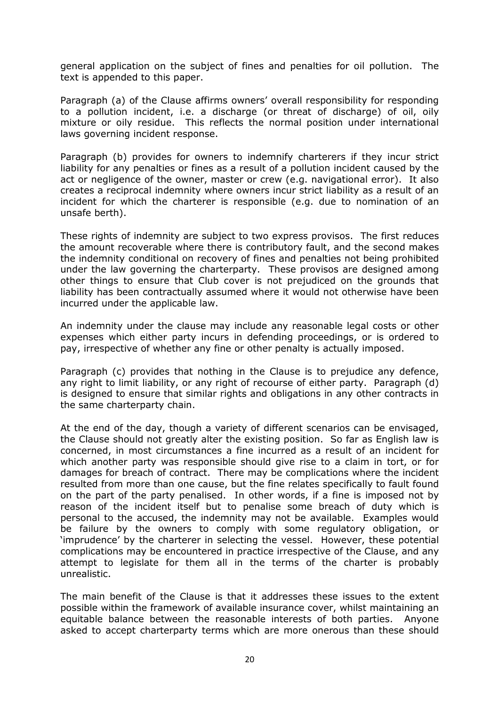general application on the subject of fines and penalties for oil pollution. The text is appended to this paper.

Paragraph (a) of the Clause affirms owners' overall responsibility for responding to a pollution incident, i.e. a discharge (or threat of discharge) of oil, oily mixture or oily residue. This reflects the normal position under international laws governing incident response.

Paragraph (b) provides for owners to indemnify charterers if they incur strict liability for any penalties or fines as a result of a pollution incident caused by the act or negligence of the owner, master or crew (e.g. navigational error). It also creates a reciprocal indemnity where owners incur strict liability as a result of an incident for which the charterer is responsible (e.g. due to nomination of an unsafe berth).

These rights of indemnity are subject to two express provisos. The first reduces the amount recoverable where there is contributory fault, and the second makes the indemnity conditional on recovery of fines and penalties not being prohibited under the law governing the charterparty. These provisos are designed among other things to ensure that Club cover is not prejudiced on the grounds that liability has been contractually assumed where it would not otherwise have been incurred under the applicable law.

An indemnity under the clause may include any reasonable legal costs or other expenses which either party incurs in defending proceedings, or is ordered to pay, irrespective of whether any fine or other penalty is actually imposed.

Paragraph (c) provides that nothing in the Clause is to prejudice any defence, any right to limit liability, or any right of recourse of either party. Paragraph (d) is designed to ensure that similar rights and obligations in any other contracts in the same charterparty chain.

At the end of the day, though a variety of different scenarios can be envisaged, the Clause should not greatly alter the existing position. So far as English law is concerned, in most circumstances a fine incurred as a result of an incident for which another party was responsible should give rise to a claim in tort, or for damages for breach of contract. There may be complications where the incident resulted from more than one cause, but the fine relates specifically to fault found on the part of the party penalised. In other words, if a fine is imposed not by reason of the incident itself but to penalise some breach of duty which is personal to the accused, the indemnity may not be available. Examples would be failure by the owners to comply with some regulatory obligation, or 'imprudence' by the charterer in selecting the vessel. However, these potential complications may be encountered in practice irrespective of the Clause, and any attempt to legislate for them all in the terms of the charter is probably unrealistic.

The main benefit of the Clause is that it addresses these issues to the extent possible within the framework of available insurance cover, whilst maintaining an equitable balance between the reasonable interests of both parties. Anyone asked to accept charterparty terms which are more onerous than these should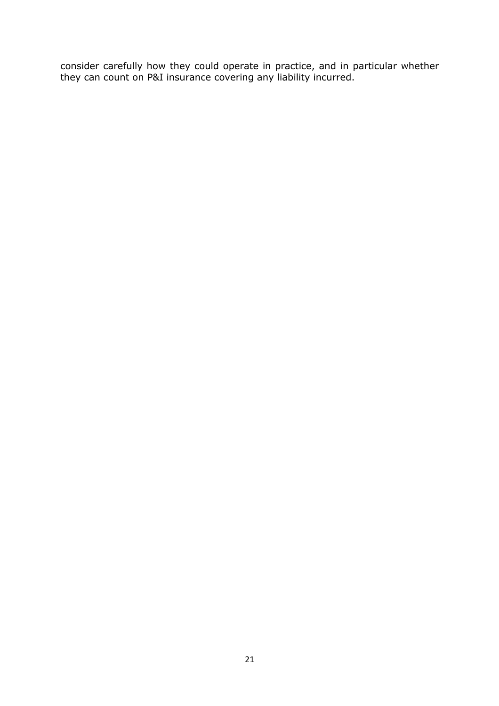consider carefully how they could operate in practice, and in particular whether they can count on P&I insurance covering any liability incurred.